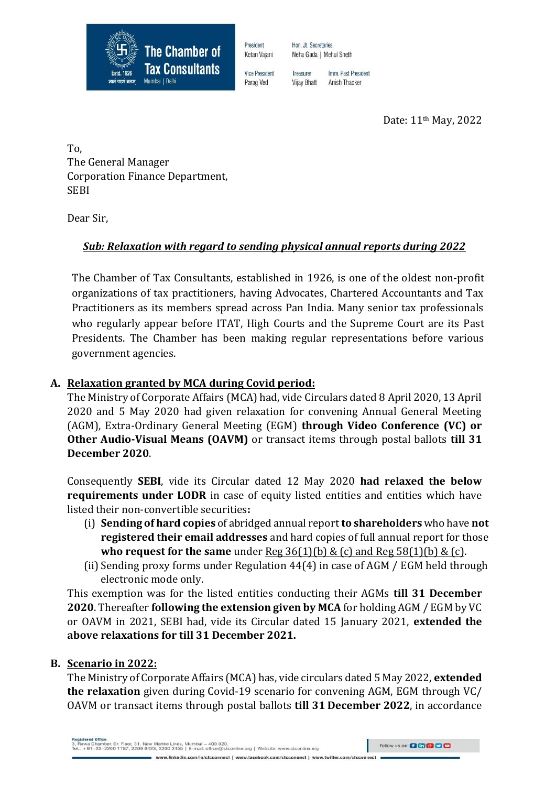

President Ketan Vajani Hon. Jt. Secretaries Neha Gada | Mehul Sheth

**Vice President** Parag Ved

Imm. Past President Treasurer Anish Thacker Vijay Bhatt

Date: 11th May, 2022

To, The General Manager Corporation Finance Department, SEBI

Dear Sir,

# *Sub: Relaxation with regard to sending physical annual reports during 2022*

The Chamber of Tax Consultants, established in 1926, is one of the oldest non-profit organizations of tax practitioners, having Advocates, Chartered Accountants and Tax Practitioners as its members spread across Pan India. Many senior tax professionals who regularly appear before ITAT, High Courts and the Supreme Court are its Past Presidents. The Chamber has been making regular representations before various government agencies.

## **A. Relaxation granted by MCA during Covid period:**

The Ministry of Corporate Affairs (MCA) had, vide Circulars dated 8 April 2020, 13 April 2020 and 5 May 2020 had given relaxation for convening Annual General Meeting (AGM), Extra-Ordinary General Meeting (EGM) **through Video Conference (VC) or Other Audio-Visual Means (OAVM)** or transact items through postal ballots **till 31 December 2020**.

Consequently **SEBI**, vide its Circular dated 12 May 2020 **had relaxed the below requirements under LODR** in case of equity listed entities and entities which have listed their non-convertible securities**:**

- (i) **Sending of hard copies** of abridged annual report **to shareholders** who have **not registered their email addresses** and hard copies of full annual report for those **who request for the same** under  $\text{Reg } 36(1)(b) \& (c)$  and  $\text{Reg } 58(1)(b) \& (c)$ .
- (ii)Sending proxy forms under Regulation 44(4) in case of AGM / EGM held through electronic mode only.

This exemption was for the listed entities conducting their AGMs **till 31 December 2020**. Thereafter **following the extension given by MCA** for holding AGM / EGM by VC or OAVM in 2021, SEBI had, vide its Circular dated 15 January 2021, **extended the above relaxations for till 31 December 2021.**

## **B. Scenario in 2022:**

The Ministry of Corporate Affairs (MCA) has, vide circulars dated 5 May 2022, **extended the relaxation** given during Covid-19 scenario for convening AGM, EGM through VC/ OAVM or transact items through postal ballots **till 31 December 2022**, in accordance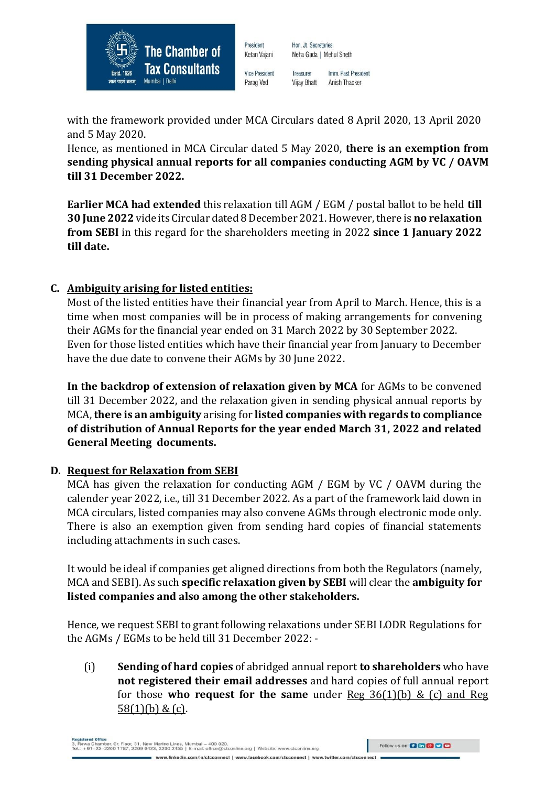

**Vice President** Parag Ved

President

Ketan Vajani

Imm. Past President Treasurer **Vijay Bhatt** Anish Thacker

Neha Gada | Mehul Sheth

Hon. Jt. Secretaries

with the framework provided under MCA Circulars dated 8 April 2020, 13 April 2020 and 5 May 2020.

Hence, as mentioned in MCA Circular dated 5 May 2020, **there is an exemption from sending physical annual reports for all companies conducting AGM by VC / OAVM till 31 December 2022.**

**Earlier MCA had extended** this relaxation till AGM / EGM / postal ballot to be held **till 30 June 2022** vide its Circular dated 8 December 2021. However, there is **no relaxation from SEBI** in this regard for the shareholders meeting in 2022 **since 1 January 2022 till date.**

## **C. Ambiguity arising for listed entities:**

Most of the listed entities have their financial year from April to March. Hence, this is a time when most companies will be in process of making arrangements for convening their AGMs for the financial year ended on 31 March 2022 by 30 September 2022. Even for those listed entities which have their financial year from January to December have the due date to convene their AGMs by 30 June 2022.

**In the backdrop of extension of relaxation given by MCA** for AGMs to be convened till 31 December 2022, and the relaxation given in sending physical annual reports by MCA, **there is an ambiguity** arising for **listed companies with regards to compliance of distribution of Annual Reports for the year ended March 31, 2022 and related General Meeting documents.**

## **D. Request for Relaxation from SEBI**

MCA has given the relaxation for conducting AGM / EGM by VC / OAVM during the calender year 2022, i.e., till 31December 2022. As a part of the framework laid down in MCA circulars, listed companies may also convene AGMs through electronic mode only. There is also an exemption given from sending hard copies of financial statements including attachments in such cases.

It would be ideal if companies get aligned directions from both the Regulators (namely, MCA and SEBI). As such **specific relaxation given by SEBI** will clear the **ambiguity for listed companies and also among the other stakeholders.**

Hence, we request SEBI to grant following relaxations under SEBI LODR Regulations for the AGMs / EGMs to be held till 31 December 2022: -

(i) **Sending of hard copies** of abridged annual report **to shareholders** who have **not registered their email addresses** and hard copies of full annual report for those **who request for the same** under Reg 36(1)(b) & (c) and Reg  $58(1)(b) & (c)$ .